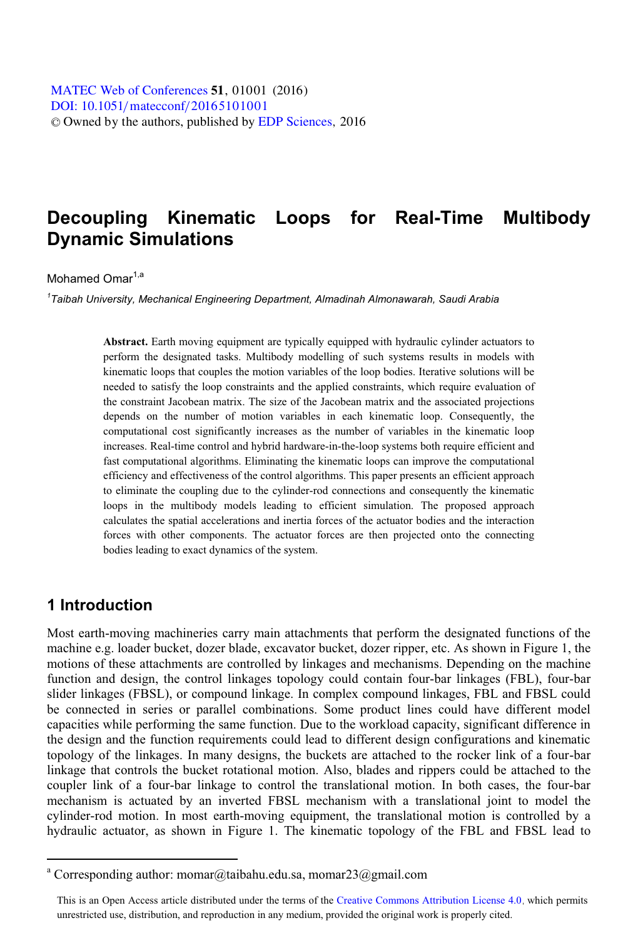# **Decoupling Kinematic Loops for Real-Time Multibody Dynamic Simulations**

#### Mohamed Omar<sup>1,a</sup>

*1 Taibah University, Mechanical Engineering Department, Almadinah Almonawarah, Saudi Arabia* 

**Abstract.** Earth moving equipment are typically equipped with hydraulic cylinder actuators to perform the designated tasks. Multibody modelling of such systems results in models with kinematic loops that couples the motion variables of the loop bodies. Iterative solutions will be needed to satisfy the loop constraints and the applied constraints, which require evaluation of the constraint Jacobean matrix. The size of the Jacobean matrix and the associated projections depends on the number of motion variables in each kinematic loop. Consequently, the computational cost significantly increases as the number of variables in the kinematic loop increases. Real-time control and hybrid hardware-in-the-loop systems both require efficient and fast computational algorithms. Eliminating the kinematic loops can improve the computational efficiency and effectiveness of the control algorithms. This paper presents an efficient approach to eliminate the coupling due to the cylinder-rod connections and consequently the kinematic loops in the multibody models leading to efficient simulation. The proposed approach calculates the spatial accelerations and inertia forces of the actuator bodies and the interaction forces with other components. The actuator forces are then projected onto the connecting bodies leading to exact dynamics of the system.

# **1 Introduction**

 $\overline{a}$ 

Most earth-moving machineries carry main attachments that perform the designated functions of the machine e.g. loader bucket, dozer blade, excavator bucket, dozer ripper, etc. As shown in Figure 1, the motions of these attachments are controlled by linkages and mechanisms. Depending on the machine function and design, the control linkages topology could contain four-bar linkages (FBL), four-bar slider linkages (FBSL), or compound linkage. In complex compound linkages, FBL and FBSL could be connected in series or parallel combinations. Some product lines could have different model capacities while performing the same function. Due to the workload capacity, significant difference in the design and the function requirements could lead to different design configurations and kinematic topology of the linkages. In many designs, the buckets are attached to the rocker link of a four-bar linkage that controls the bucket rotational motion. Also, blades and rippers could be attached to the coupler link of a four-bar linkage to control the translational motion. In both cases, the four-bar mechanism is actuated by an inverted FBSL mechanism with a translational joint to model the cylinder-rod motion. In most earth-moving equipment, the translational motion is controlled by a hydraulic actuator, as shown in Figure 1. The kinematic topology of the FBL and FBSL lead to

<sup>&</sup>lt;sup>a</sup> Corresponding author: momar@taibahu.edu.sa, momar23@gmail.com

This is an Open Access article distributed under the terms of the Creative Commons Attribution License 4.0, which permits unrestricted use, distribution, and reproduction in any medium, provided the original work is properly cited.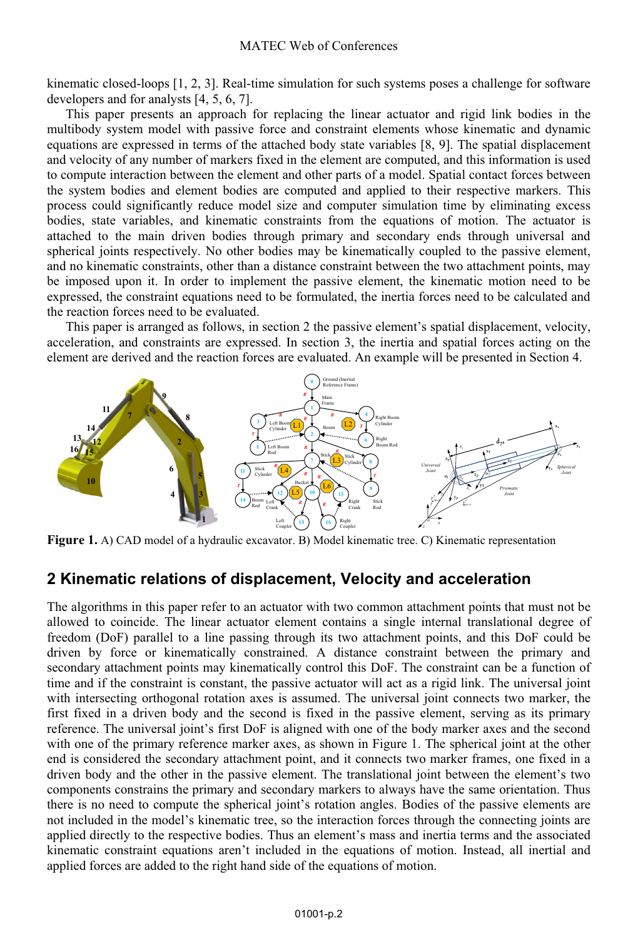kinematic closed-loops [1, 2, 3]. Real-time simulation for such systems poses a challenge for software developers and for analysts [4, 5, 6, 7].

This paper presents an approach for replacing the linear actuator and rigid link bodies in the multibody system model with passive force and constraint elements whose kinematic and dynamic equations are expressed in terms of the attached body state variables [8, 9]. The spatial displacement and velocity of any number of markers fixed in the element are computed, and this information is used to compute interaction between the element and other parts of a model. Spatial contact forces between the system bodies and element bodies are computed and applied to their respective markers. This process could significantly reduce model size and computer simulation time by eliminating excess bodies, state variables, and kinematic constraints from the equations of motion. The actuator is attached to the main driven bodies through primary and secondary ends through universal and spherical joints respectively. No other bodies may be kinematically coupled to the passive element, and no kinematic constraints, other than a distance constraint between the two attachment points, may be imposed upon it. In order to implement the passive element, the kinematic motion need to be expressed, the constraint equations need to be formulated, the inertia forces need to be calculated and the reaction forces need to be evaluated.

This paper is arranged as follows, in section 2 the passive element's spatial displacement, velocity, acceleration, and constraints are expressed. In section 3, the inertia and spatial forces acting on the element are derived and the reaction forces are evaluated. An example will be presented in Section 4.



**Figure 1.** A) CAD model of a hydraulic excavator. B) Model kinematic tree. C) Kinematic representation

## **2 Kinematic relations of displacement, Velocity and acceleration**

The algorithms in this paper refer to an actuator with two common attachment points that must not be allowed to coincide. The linear actuator element contains a single internal translational degree of freedom (DoF) parallel to a line passing through its two attachment points, and this DoF could be driven by force or kinematically constrained. A distance constraint between the primary and secondary attachment points may kinematically control this DoF. The constraint can be a function of time and if the constraint is constant, the passive actuator will act as a rigid link. The universal joint with intersecting orthogonal rotation axes is assumed. The universal joint connects two marker, the first fixed in a driven body and the second is fixed in the passive element, serving as its primary reference. The universal joint's first DoF is aligned with one of the body marker axes and the second with one of the primary reference marker axes, as shown in Figure 1. The spherical joint at the other end is considered the secondary attachment point, and it connects two marker frames, one fixed in a driven body and the other in the passive element. The translational joint between the element's two components constrains the primary and secondary markers to always have the same orientation. Thus there is no need to compute the spherical joint's rotation angles. Bodies of the passive elements are not included in the model's kinematic tree, so the interaction forces through the connecting joints are applied directly to the respective bodies. Thus an element's mass and inertia terms and the associated kinematic constraint equations aren't included in the equations of motion. Instead, all inertial and applied forces are added to the right hand side of the equations of motion.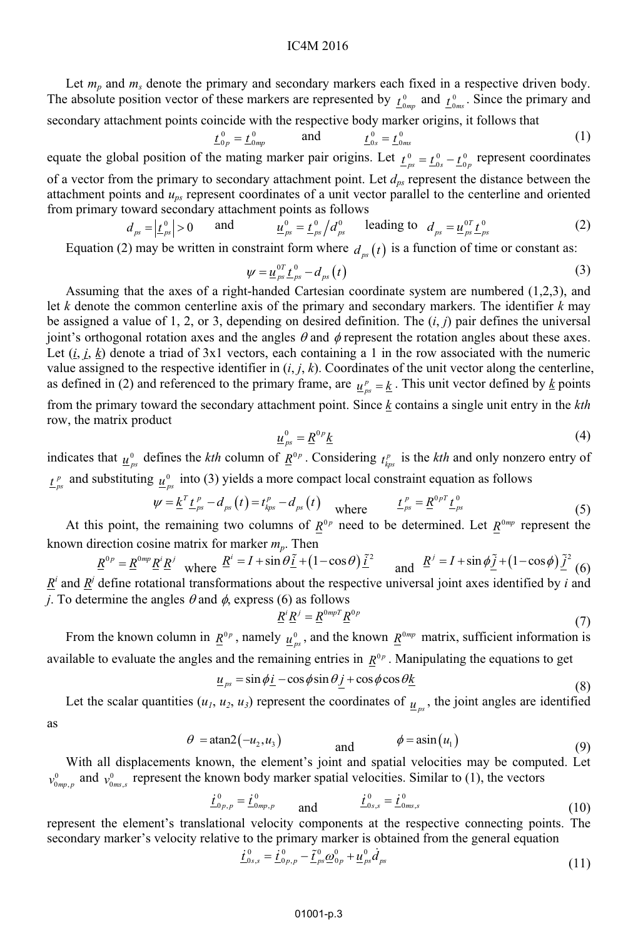Let  $m_p$  and  $m_s$  denote the primary and secondary markers each fixed in a respective driven body. The absolute position vector of these markers are represented by  $t_{0mp}^0$  and  $t_{0ms}^0$ . Since the primary and secondary attachment points coincide with the respective body marker origins, it follows that

$$
\underline{t}_{0p}^0 = \underline{t}_{0mp}^0 \qquad \text{and} \qquad \underline{t}_{0s}^0 = \underline{t}_{0ms}^0 \tag{1}
$$

equate the global position of the mating marker pair origins. Let  $\underline{t}_{ps}^0 = \underline{t}_{0s}^0 - \underline{t}_{0p}^0$  represent coordinates of a vector from the primary to secondary attachment point. Let  $d_{ps}$  represent the distance between the attachment points and  $u_{ps}$  represent coordinates of a unit vector parallel to the centerline and oriented from primary toward secondary attachment points as follows

$$
d_{\scriptscriptstyle{ps}} = \left| \underline{t}_{\scriptscriptstyle{ps}}^{\scriptscriptstyle{0}} \right| > 0 \qquad \text{and} \qquad \qquad \underline{u}_{\scriptscriptstyle{ps}}^{\scriptscriptstyle{0}} = \underline{t}_{\scriptscriptstyle{ps}}^{\scriptscriptstyle{0}} / d_{\scriptscriptstyle{ps}}^{\scriptscriptstyle{0}} \qquad \text{leading to} \quad d_{\scriptscriptstyle{ps}} = \underline{u}_{\scriptscriptstyle{ps}}^{\scriptscriptstyle{0}} \underline{t}_{\scriptscriptstyle{ps}}^{\scriptscriptstyle{0}} \tag{2}
$$

Equation (2) may be written in constraint form where  $d_{n}$  (t) is a function of time or constant as:

$$
\psi = \underline{u}_{ps}^{\,0T} \underline{t}_{ps}^{\,0} - d_{ps}(t) \tag{3}
$$

Assuming that the axes of a right-handed Cartesian coordinate system are numbered (1,2,3), and let *k* denote the common centerline axis of the primary and secondary markers. The identifier *k* may be assigned a value of 1, 2, or 3, depending on desired definition. The (*i*, *j*) pair defines the universal joint's orthogonal rotation axes and the angles  $\theta$  and  $\phi$  represent the rotation angles about these axes. Let  $(i, j, k)$  denote a triad of 3x1 vectors, each containing a 1 in the row associated with the numeric value assigned to the respective identifier in  $(i, j, k)$ . Coordinates of the unit vector along the centerline, as defined in (2) and referenced to the primary frame, are  $\underline{u}_{ps}^p = \underline{k}$ . This unit vector defined by <u>k</u> points

from the primary toward the secondary attachment point. Since *k* contains a single unit entry in the *kth* row, the matrix product

$$
\underline{u}_{ps}^{0} = \underline{R}^{0p} \underline{k} \tag{4}
$$

indicates that  $\underline{u}_{ps}^0$  defines the *kth* column of  $\underline{R}^{0p}$ . Considering  $t_{kps}^p$  is the *kth* and only nonzero entry of  $p_{ps}^p$  and substituting  $\frac{u_{ps}^0}{p_{ps}^p}$  into (3) yields a more compact local constraint equation as follows

$$
\psi = \underline{k}^T \underline{t}_{ps}^p - d_{ps}(t) = t_{kps}^p - d_{ps}(t) \quad \text{where} \quad \underline{t}_{ps}^p = \underline{R}^{0p} \underline{t}_{ps}^0 \tag{5}
$$

At this point, the remaining two columns of  $\underline{R}^{0p}$  need to be determined. Let  $R^{0mp}$  represent the

known direction cosine matrix for marker  $m_p$ . Then<br>  $\underline{R}^{0p} = \underline{R}^{0mp} \underline{R}^i \underline{R}^j$  where  $\underline{R}^i = I + \sin \theta \underline{\tilde{i}} + (1 - \cos \theta) \underline{\tilde{i}}^2$  and  $\underline{R}^j = I + \sin \phi \underline{\tilde{j}} + (1 - \cos \phi) \underline{\tilde{j}}^2$  (6)  $R^i$  and  $R^j$  define rotational transformations about the respective universal joint axes identified by *i* and *j*. To determine the angles  $\theta$  and  $\phi$ , express (6) as follows

$$
\underline{R}^i \underline{R}^j = \underline{R}^{0mpT} \underline{R}^{0p} \tag{7}
$$

From the known column in  $\underline{R}^{0p}$ , namely  $\underline{u}^0_{ps}$ , and the known  $\underline{R}^{0mp}$  matrix, sufficient information is available to evaluate the angles and the remaining entries in  $R^{0p}$ . Manipulating the equations to get

$$
\underline{u}_{ps} = \sin \phi \underline{i} - \cos \phi \sin \theta \underline{j} + \cos \phi \cos \theta \underline{k} \tag{8}
$$

Let the scalar quantities  $(u_1, u_2, u_3)$  represent the coordinates of  $u_n$ , the joint angles are identified

$$
\quad \text{as} \quad
$$

$$
\theta = \text{atan2}(-u_2, u_3) \qquad \text{and} \qquad \phi = \text{asin}(u_1) \tag{9}
$$

With all displacements known, the element's joint and spatial velocities may be computed. Let  $v_{0mp,p}^0$  and  $v_{0ms,s}^0$  represent the known body marker spatial velocities. Similar to (1), the vectors

$$
\underline{\dot{t}}_{0p,p}^{0} = \underline{\dot{t}}_{0mp,p}^{0} \qquad \text{and} \qquad \qquad \underline{\dot{t}}_{0s,s}^{0} = \underline{\dot{t}}_{0ms,s}^{0} \tag{10}
$$

represent the element's translational velocity components at the respective connecting points. The secondary marker's velocity relative to the primary marker is obtained from the general equation

$$
\underline{\dot{t}}_{0s,s}^{0} = \underline{\dot{t}}_{0p,p}^{0} - \tilde{\underline{t}}_{ps}^{0} \underline{\omega}_{0p}^{0} + \underline{u}_{ps}^{0} \dot{d}_{ps}
$$
\n(11)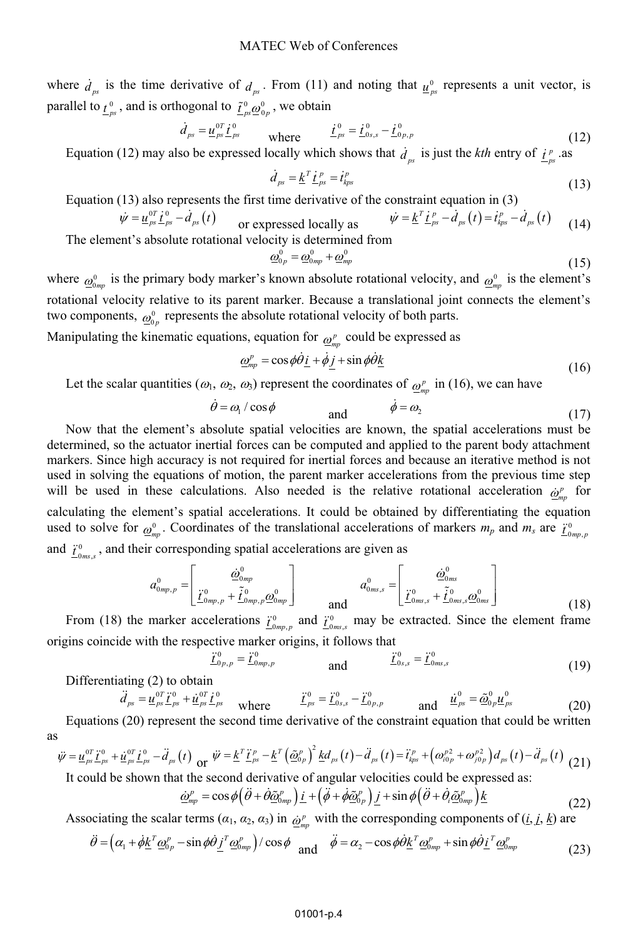where  $\dot{d}_{ps}$  is the time derivative of  $d_{ps}$ . From (11) and noting that  $\underline{u}_{ps}^0$  represents a unit vector, is parallel to  $\underline{t}^0_{ps}$ , and is orthogonal to  $\underline{\tilde{t}}^0_{ps} \underline{\omega}^0_{0p}$ , we obtain

$$
\dot{d}_{ps} = \underline{u}_{ps}^{0T} \dot{t}_{ps}^{0} \qquad \text{where} \qquad \dot{t}_{ps}^{0} = \dot{t}_{0s,s}^{0} - \dot{t}_{0p,p}^{0} \tag{12}
$$

Equation (12) may also be expressed locally which shows that  $\dot{d}_{ps}$  is just the *kth* entry of  $\underline{f}_{ps}^p$  as

$$
\dot{d}_{ps} = \underline{k}^T \underline{t}_{ps}^p = \dot{t}_{kps}^p \tag{13}
$$

Equation (13) also represents the first time derivative of the constraint equation in (3)

$$
\dot{\psi} = \underline{u}_{ps}^{\text{or}} \underline{t}_{ps}^{\text{0}} - \dot{d}_{ps}(t) \qquad \text{or expressed locally as} \qquad \dot{\psi} = \underline{k}^{T} \underline{t}_{ps}^{p} - \dot{d}_{ps}(t) = \dot{t}_{ps}^{p} - \dot{d}_{ps}(t) \qquad (14)
$$
\n
$$
\text{ement's absolute rotational velocity is determined from}
$$

The element's absolute rotational velocity is determined from

 $\underline{\ddot{t}}_{0 p, p}^{0}$  =

$$
\underline{\omega}_{0p}^{0} = \underline{\omega}_{0mp}^{0} + \underline{\omega}_{mp}^{0} \tag{15}
$$

where  $\omega_{0mn}^0$  is the primary body marker's known absolute rotational velocity, and  $\omega_{mn}^0$  is the element's rotational velocity relative to its parent marker. Because a translational joint connects the element's two components,  $\omega_{0_p}^0$  represents the absolute rotational velocity of both parts.

Manipulating the kinematic equations, equation for  $\rho_{mn}^p$  could be expressed as

$$
\underline{\omega}_{mp}^{p} = \cos\phi \dot{\theta} \underline{i} + \dot{\phi} \underline{j} + \sin\phi \dot{\theta} \underline{k}
$$
\n(16)

Let the scalar quantities  $(\omega_1, \omega_2, \omega_3)$  represent the coordinates of  $\omega_m^p$  in (16), we can have

$$
\dot{\theta} = \omega_1 / \cos \phi \qquad \text{and} \qquad \dot{\phi} = \omega_2 \qquad (17)
$$

Now that the element's absolute spatial velocities are known, the spatial accelerations must be determined, so the actuator inertial forces can be computed and applied to the parent body attachment markers. Since high accuracy is not required for inertial forces and because an iterative method is not used in solving the equations of motion, the parent marker accelerations from the previous time step will be used in these calculations. Also needed is the relative rotational acceleration  $\dot{\omega}_{mn}^p$  for calculating the element's spatial accelerations. It could be obtained by differentiating the equation used to solve for  $\omega_{mp}^0$ . Coordinates of the translational accelerations of markers  $m_p$  and  $m_s$  are  $\frac{\dot{T}_{0mp,p}}{\dot{T}_{0mp,p}}$ and  $\underline{\ddot{t}}_{0ms,s}^0$ , and their corresponding spatial accelerations are given as

$$
a_{0mp,p}^{0} = \begin{bmatrix} \dot{\underline{\omega}}_{0mp}^{0} \\ \ddot{L}_{0mp,p}^{0} + \tilde{\underline{L}}_{0mp,p}^{0} \underline{\underline{\omega}}_{0mp}^{0} \end{bmatrix} \qquad a_{0ms,s}^{0} = \begin{bmatrix} \dot{\underline{\omega}}_{0ms}^{0} \\ \ddot{L}_{0ms,s}^{0} + \tilde{\underline{L}}_{0ms,s}^{0} \underline{\underline{\omega}}_{0ms}^{0} \end{bmatrix}
$$
(18)

From (18) the marker accelerations  $\underline{\dot{t}}_{0mp,p}^0$  and  $\underline{\dot{t}}_{0ms,s}^0$  may be extracted. Since the element frame origins coincide with the respective marker origins, it follows that

$$
\ddot{\underline{\mathbf{r}}}_{0mp,p}^0 \qquad \qquad \text{and} \qquad \qquad \dddot{\underline{\mathbf{r}}}_{0s,s}^0 = \ddot{\underline{\mathbf{r}}}_{0ms,s}^0 \tag{19}
$$

Differentiating (2) to obtain

$$
\ddot{d}_{ps} = \underline{u}_{ps}^{0T} \ddot{t}_{ps}^{0} + \underline{u}_{ps}^{0T} \dot{t}_{ps}^{0} \quad \text{where} \quad \ddot{t}_{ps}^{0} = \ddot{t}_{0s,s}^{0} - \ddot{t}_{0p,p}^{0} \quad \text{and} \quad \dot{u}_{ps}^{0} = \tilde{\omega}_{0p}^{0} \underline{u}_{ps}^{0} \tag{20}
$$

Equations (20) represent the second time derivative of the constraint equation that could be written as

$$
\ddot{\psi} = \underline{u}_{ps}^{0T} \ddot{t}_{ps}^{0} + \dot{\underline{u}}_{ps}^{0T} \dot{t}_{ps}^{0} - \ddot{d}_{ps}(t) \text{ or } \ddot{\psi} = \underline{k}^{T} \ddot{t}_{ps}^{p} - \underline{k}^{T} \left( \underline{\tilde{\omega}}_{0p}^{p} \right)^{2} \underline{k} d_{ps}(t) - \ddot{d}_{ps}(t) = \ddot{t}_{ps}^{p} + \left( \omega_{i0p}^{p^2} + \omega_{j0p}^{p^2} \right) d_{ps}(t) - \ddot{d}_{ps}(t) \tag{21}
$$

It could be shown that the second derivative of angular velocities could be expressed as:

$$
\underline{\dot{\omega}}_{mp}^{p} = \cos\phi \left( \ddot{\theta} + \dot{\theta} \underline{\tilde{\omega}}_{0mp}^{p} \right) \underline{i} + \left( \ddot{\phi} + \dot{\phi} \underline{\tilde{\omega}}_{0p}^{p} \right) \underline{j} + \sin\phi \left( \ddot{\theta} + \dot{\theta}_{i} \underline{\tilde{\omega}}_{0mp}^{p} \right) \underline{k}
$$
\n(22)

Associating the scalar terms  $(a_1, a_2, a_3)$  in  $\hat{\omega}_m^p$  with the corresponding components of  $(i, j, k)$  are

$$
\ddot{\theta} = \left(\alpha_1 + \dot{\phi} \underline{k}^T \underline{\omega}_{0p}^p - \sin \phi \dot{\theta} \underline{j}^T \underline{\omega}_{0mp}^p\right) / \cos \phi \quad \text{and} \quad \ddot{\phi} = \alpha_2 - \cos \phi \dot{\theta} \underline{k}^T \underline{\omega}_{0mp}^p + \sin \phi \dot{\theta} \underline{i}^T \underline{\omega}_{0mp}^p \tag{23}
$$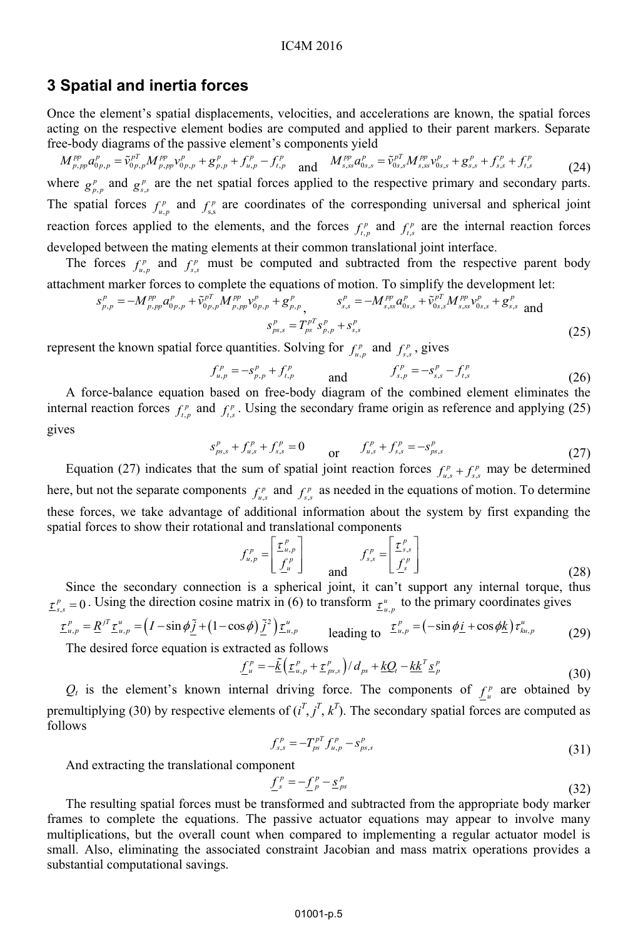#### IC4M 2016

### **3 Spatial and inertia forces**

Once the element's spatial displacements, velocities, and accelerations are known, the spatial forces acting on the respective element bodies are computed and applied to their parent markers. Separate free-body diagrams of the passive element's components yield

$$
M_{p,pp}^{pp} a_{0p,p}^p = \tilde{v}_{0p,p}^{p} M_{p,pp}^{pp} v_{0p,p}^p + g_{p,p}^p + f_{u,p}^p - f_{t,p}^p \quad \text{and} \quad M_{s,ss}^{pp} a_{0s,s}^p = \tilde{v}_{0s,s}^{p} M_{s,ss}^{pp} v_{0s,s}^p + g_{s,s}^p + f_{s,s}^p + f_{t,s}^p \tag{24}
$$

where  $g_{p,p}^p$  and  $g_{s,s}^p$  are the net spatial forces applied to the respective primary and secondary parts. The spatial forces  $f_{u,p}^p$  and  $f_{s,s}^p$  are coordinates of the corresponding universal and spherical joint reaction forces applied to the elements, and the forces  $f_{t,p}^p$  and  $f_{t,s}^p$  are the internal reaction forces developed between the mating elements at their common translational joint interface.

The forces  $f^p_{u,p}$  and  $f^p_{s,s}$  must be computed and subtracted from the respective parent body attachment marker forces to complete the equations of motion. To simplify the development let:

$$
s_{p,p}^p = -M_{p,pp}^{pp} a_{0p,p}^p + \tilde{v}_{0p,p}^{pT} M_{p,pp}^{pp} v_{0p,p}^p + g_{p,p}^p, \t s_{s,s}^p = -M_{s,s}^{pp} a_{0s,s}^p + \tilde{v}_{0s,s}^{pT} M_{s,ss}^{pp} v_{0s,s}^p + g_{s,s}^p
$$
 and  

$$
s_{ps,s}^p = T_{ps}^{pT} s_{p,p}^p + s_{s,s}^p
$$
 (25)

represent the known spatial force quantities. Solving for  $f_{u,p}^p$  and  $f_{s,s}^p$ , gives

$$
f_{u,p}^p = -s_{p,p}^p + f_{t,p}^p \qquad \text{and} \qquad f_{s,p}^p = -s_{s,s}^p - f_{t,s}^p \tag{26}
$$

A force-balance equation based on free-body diagram of the combined element eliminates the internal reaction forces  $f_{t,p}^p$  and  $f_{t,s}^p$ . Using the secondary frame origin as reference and applying (25) gives

$$
s_{ps,s}^p + f_{us}^p + f_{s,s}^p = 0 \t\t or \t\t f_{us}^p + f_{s,s}^p = -s_{ps,s}^p \t\t (27)
$$

Equation (27) indicates that the sum of spatial joint reaction forces  $f_{u,s}^p + f_{s,s}^p$  may be determined here, but not the separate components  $f_{u,s}^p$  and  $f_{s,s}^p$  as needed in the equations of motion. To determine these forces, we take advantage of additional information about the system by first expanding the spatial forces to show their rotational and translational components

$$
f_{u,p}^p = \begin{bmatrix} \underline{\tau}_{u,p}^p \\ \underline{f}_{u}^p \end{bmatrix} \qquad f_{s,s}^p = \begin{bmatrix} \underline{\tau}_{s,s}^p \\ \underline{f}_{s}^p \end{bmatrix}
$$
 (28)

Since the secondary connection is a spherical joint, it can't support any internal torque, thus  $\underline{\tau}^p_{s,s} = 0$ . Using the direction cosine matrix in (6) to transform  $\underline{\tau}^u_{u,p}$  to the primary coordinates gives

$$
\underline{\tau}_{u,p}^p = \underline{R}^{jT} \underline{\tau}_{u,p}^u = \left(I - \sin \phi \tilde{\underline{j}} + (1 - \cos \phi) \tilde{\underline{j}}^2\right) \underline{\tau}_{u,p}^u
$$
 leading to  $\underline{\tau}_{u,p}^p = \left(-\sin \phi \underline{i} + \cos \phi \underline{k}\right) \tau_{ku,p}^u$  (29)

The desired force equation is extracted as follows

$$
\underline{f}_{u}^{p} = -\tilde{\underline{k}}\left(\underline{\tau}_{u,p}^{p} + \underline{\tau}_{ps,s}^{p}\right)/d_{ps} + \underline{k}\underline{Q}_{t} - \underline{k}\underline{k}^{T}\underline{s}_{p}^{p} \tag{30}
$$

 $Q_t$  is the element's known internal driving force. The components of  $f^p$  are obtained by premultiplying (30) by respective elements of  $(i^T, j^T, k^T)$ . The secondary spatial forces are computed as follows

$$
f_{s,s}^p = -T_{ps}^{p} f_{u,p}^p - s_{ps,s}^p
$$
\n(31)

And extracting the translational component

$$
\underline{f}^p_s = -\underline{f}^p_p - \underline{s}^p_{ps} \tag{32}
$$

The resulting spatial forces must be transformed and subtracted from the appropriate body marker frames to complete the equations. The passive actuator equations may appear to involve many multiplications, but the overall count when compared to implementing a regular actuator model is small. Also, eliminating the associated constraint Jacobian and mass matrix operations provides a substantial computational savings.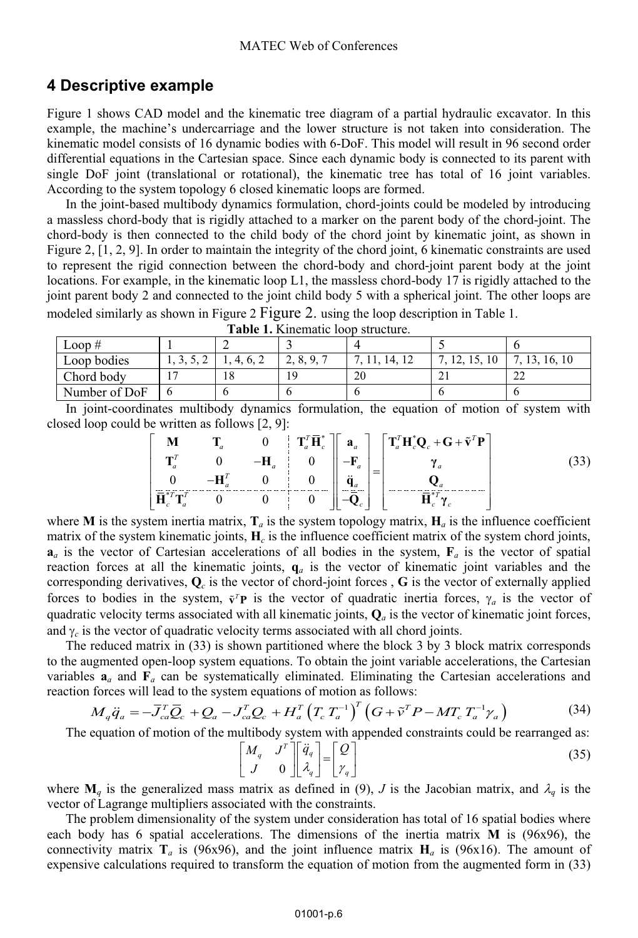# **4 Descriptive example**

Figure 1 shows CAD model and the kinematic tree diagram of a partial hydraulic excavator. In this example, the machine's undercarriage and the lower structure is not taken into consideration. The kinematic model consists of 16 dynamic bodies with 6-DoF. This model will result in 96 second order differential equations in the Cartesian space. Since each dynamic body is connected to its parent with single DoF joint (translational or rotational), the kinematic tree has total of 16 joint variables. According to the system topology 6 closed kinematic loops are formed.

In the joint-based multibody dynamics formulation, chord-joints could be modeled by introducing a massless chord-body that is rigidly attached to a marker on the parent body of the chord-joint. The chord-body is then connected to the child body of the chord joint by kinematic joint, as shown in Figure 2, [1, 2, 9]. In order to maintain the integrity of the chord joint, 6 kinematic constraints are used to represent the rigid connection between the chord-body and chord-joint parent body at the joint locations. For example, in the kinematic loop L1, the massless chord-body 17 is rigidly attached to the joint parent body 2 and connected to the joint child body 5 with a spherical joint. The other loops are modeled similarly as shown in Figure 2 Figure 2. using the loop description in Table 1.

| ------------  |         |    |                               |    |   |                     |
|---------------|---------|----|-------------------------------|----|---|---------------------|
| Loop#         |         |    |                               |    |   |                     |
| Loop bodies   | ← ہے۔ ہ |    | 8.<br>$\mathbf Q$<br><u>.</u> |    |   | 16.10               |
| Chord body    | -       | 18 | 19                            | 20 | ∸ | $\mathcal{L}$<br>∠∠ |
| Number of DoF |         |    |                               |    |   | o                   |
|               |         |    |                               |    |   |                     |

**Table 1.** Kinematic loop structure.

In joint-coordinates multibody dynamics formulation, the equation of motion of system with closed loop could be written as follows [2, 9]:

$$
\begin{bmatrix}\n\mathbf{M} & \mathbf{T}_a & 0 & \mathbf{T}_a^T \mathbf{\bar{H}}_c^* \\
\mathbf{T}_a^T & 0 & -\mathbf{H}_a & 0 \\
0 & -\mathbf{H}_a^T & 0 & 0 \\
\mathbf{\bar{H}}_c^T \mathbf{T}_a^T & 0 & 0 & 0\n\end{bmatrix}\n\begin{bmatrix}\n\mathbf{T}_a^T \mathbf{\bar{H}}_c^* \\
0 \\
0 \\
\mathbf{\bar{q}}_a \\
-\mathbf{\bar{Q}}_c\n\end{bmatrix} = \begin{bmatrix}\n\mathbf{T}_a^T \mathbf{H}_c^* \mathbf{Q}_c + \mathbf{G} + \tilde{\mathbf{v}}^T \mathbf{P} \\
\gamma_a \\
\mathbf{Q}_a \\
\mathbf{\bar{H}}_c^T \mathbf{T}_c^T\n\end{bmatrix}
$$
\n(33)

where **M** is the system inertia matrix,  $\mathbf{T}_a$  is the system topology matrix,  $\mathbf{H}_a$  is the influence coefficient matrix of the system kinematic joints, **H***<sup>c</sup>* is the influence coefficient matrix of the system chord joints,  $\mathbf{a}_a$  is the vector of Cartesian accelerations of all bodies in the system,  $\mathbf{F}_a$  is the vector of spatial reaction forces at all the kinematic joints,  $q_a$  is the vector of kinematic joint variables and the corresponding derivatives,  $\mathbf{Q}_c$  is the vector of chord-joint forces,  $\mathbf{G}$  is the vector of externally applied forces to bodies in the system,  $\tilde{\mathbf{v}}^T \mathbf{P}$  is the vector of quadratic inertia forces,  $\gamma_a$  is the vector of quadratic velocity terms associated with all kinematic ioints  $\Omega$  is the vector of kinematic ioint for quadratic velocity terms associated with all kinematic joints,  $\mathbf{Q}_a$  is the vector of kinematic joint forces, and  $\gamma_c$  is the vector of quadratic velocity terms associated with all chord joints.

The reduced matrix in (33) is shown partitioned where the block 3 by 3 block matrix corresponds to the augmented open-loop system equations. To obtain the joint variable accelerations, the Cartesian variables  $a_a$  and  $F_a$  can be systematically eliminated. Eliminating the Cartesian accelerations and reaction forces will lead to the system equations of motion as follows:

$$
M_q \ddot{q}_a = -\overline{J}_{ca}^T \overline{Q}_c + Q_a - J_{ca}^T Q_c + H_a^T \left( T_c T_a^{-1} \right)^T \left( G + \tilde{\nu}^T P - M T_c T_a^{-1} \gamma_a \right)
$$
(34)

The equation of motion of the multibody system with appended constraints could be rearranged as:

$$
\begin{bmatrix} M_q & J^T \\ J & 0 \end{bmatrix} \begin{bmatrix} \ddot{q}_q \\ \lambda_q \end{bmatrix} = \begin{bmatrix} Q \\ \gamma_q \end{bmatrix}
$$
 (35)

where  $\mathbf{M}_q$  is the generalized mass matrix as defined in (9), *J* is the Jacobian matrix, and  $\lambda_q$  is the vector of Lagrange multipliers associated with the constraints.

The problem dimensionality of the system under consideration has total of 16 spatial bodies where each body has 6 spatial accelerations. The dimensions of the inertia matrix **M** is (96x96), the connectivity matrix  $\mathbf{T}_a$  is (96x96), and the joint influence matrix  $\mathbf{H}_a$  is (96x16). The amount of expensive calculations required to transform the equation of motion from the augmented form in (33)